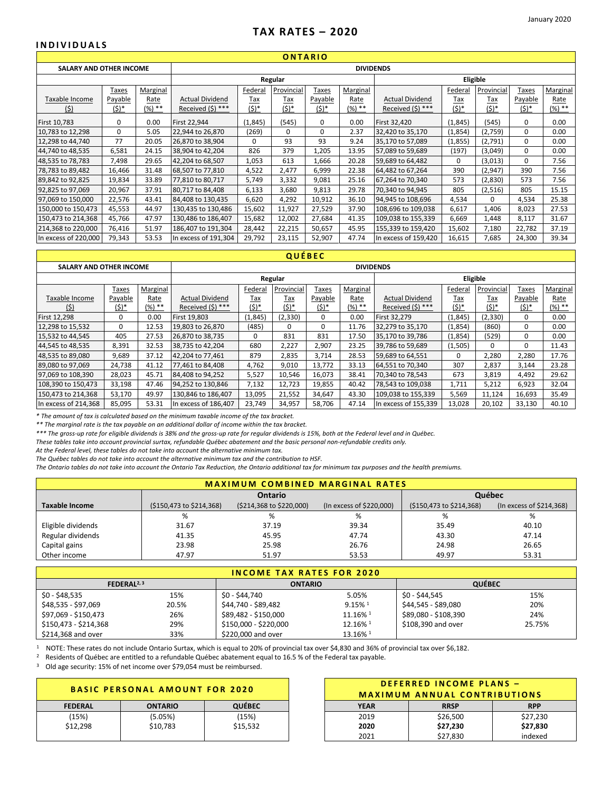# **TAX RATES – 2020**

**ONTARIO**

#### **INDIVIDUALS**

| UNIARIU                        |          |                 |                        |                |            |          |          |                        |         |            |                |          |
|--------------------------------|----------|-----------------|------------------------|----------------|------------|----------|----------|------------------------|---------|------------|----------------|----------|
| <b>SALARY AND OTHER INCOME</b> |          |                 |                        |                |            |          |          | <b>DIVIDENDS</b>       |         |            |                |          |
|                                |          |                 |                        |                | Regular    |          |          |                        |         | Eligible   |                |          |
|                                | Taxes    | <b>Marginal</b> |                        | <b>Federal</b> | Provincial | Taxes    | Marginal |                        | Federal | Provincial | Taxes          | Marginal |
| Taxable Income                 | Payable  | Rate            | <b>Actual Dividend</b> | <u>Tax</u>     | <u>Tax</u> | Payable  | Rate     | <b>Actual Dividend</b> | Tax     | <u>Tax</u> | <b>Payable</b> | Rate     |
| <u>(\$)</u>                    | $(5)^*$  | $(%) **$        | Received (\$) ***      | <u>(\$)*</u>   | $(5)^*$    | $(5)^*$  | $(%) **$ | Received $(5)$ ***     | (\$)*   | $(5)^*$    | $(5)^*$        | $(%) **$ |
| First 10,783                   | $\Omega$ | 0.00            | First 22,944           | (1,845)        | (545)      | 0        | 0.00     | First 32,420           | (1,845) | (545)      | 0              | 0.00     |
| 10,783 to 12,298               | 0        | 5.05            | 22,944 to 26,870       | (269)          | 0          | $\Omega$ | 2.37     | 32,420 to 35,170       | (1,854) | (2,759)    | 0              | 0.00     |
| 12,298 to 44,740               | 77       | 20.05           | 26,870 to 38,904       | 0              | 93         | 93       | 9.24     | 35,170 to 57,089       | (1,855) | (2,791)    | 0              | 0.00     |
| 44,740 to 48,535               | 6,581    | 24.15           | 38,904 to 42,204       | 826            | 379        | 1,205    | 13.95    | 57,089 to 59,689       | (197)   | (3,049)    | 0              | 0.00     |
| 48,535 to 78,783               | 7,498    | 29.65           | 42,204 to 68,507       | 1,053          | 613        | 1,666    | 20.28    | 59,689 to 64,482       | 0       | (3,013)    | 0              | 7.56     |
| 78,783 to 89,482               | 16,466   | 31.48           | 68,507 to 77,810       | 4,522          | 2,477      | 6,999    | 22.38    | 64,482 to 67,264       | 390     | (2,947)    | 390            | 7.56     |
| 89,842 to 92,825               | 19,834   | 33.89           | 77,810 to 80,717       | 5,749          | 3,332      | 9,081    | 25.16    | 67,264 to 70,340       | 573     | (2,830)    | 573            | 7.56     |
| 92,825 to 97,069               | 20,967   | 37.91           | 80,717 to 84,408       | 6,133          | 3,680      | 9,813    | 29.78    | 70,340 to 94,945       | 805     | (2,516)    | 805            | 15.15    |
| 97,069 to 150,000              | 22,576   | 43.41           | 84,408 to 130,435      | 6,620          | 4,292      | 10,912   | 36.10    | 94,945 to 108,696      | 4,534   | 0          | 4,534          | 25.38    |
| 150,000 to 150,473             | 45,553   | 44.97           | 130,435 to 130,486     | 15,602         | 11,927     | 27,529   | 37.90    | 108,696 to 109,038     | 6,617   | 1,406      | 8,023          | 27.53    |
| 150,473 to 214,368             | 45,766   | 47.97           | 130,486 to 186,407     | 15,682         | 12,002     | 27,684   | 41.35    | 109,038 to 155,339     | 6,669   | 1,448      | 8,117          | 31.67    |
| 214,368 to 220,000             | 76,416   | 51.97           | 186,407 to 191,304     | 28,442         | 22,215     | 50,657   | 45.95    | 155,339 to 159,420     | 15,602  | 7,180      | 22,782         | 37.19    |
| In excess of 220,000           | 79,343   | 53.53           | In excess of 191,304   | 29,792         | 23,115     | 52,907   | 47.74    | In excess of 159,420   | 16,615  | 7,685      | 24,300         | 39.34    |

# **QUÉBEC**

| <b>SALARY AND OTHER INCOME</b> |         |          | <b>DIVIDENDS</b>       |            |            |              |          |                        |            |            |              |          |
|--------------------------------|---------|----------|------------------------|------------|------------|--------------|----------|------------------------|------------|------------|--------------|----------|
|                                |         |          |                        |            | Regular    |              |          |                        |            | Eligible   |              |          |
|                                | Taxes   | Marginal |                        | Federal    | Provincial | <b>Taxes</b> | Marginal |                        | Federal    | Provincial | <b>Taxes</b> | Marginal |
| Taxable Income                 | Payable | Rate     | <b>Actual Dividend</b> | <u>Tax</u> | <u>Tax</u> | Payable      | Rate     | <b>Actual Dividend</b> | <u>Tax</u> | <u>Tax</u> | Payable      | Rate     |
| (5)                            | $(5)^*$ | $(%) **$ | Received (\$) ***      | $(5)^*$    | (\$)*      | $(5)^*$      | $(%) **$ | Received $(5)$ ***     | $(5)^*$    | $(5)^*$    | $(5)^*$      | $(%) **$ |
| First 12,298                   | 0       | 0.00     | First 19,803           | (1,845)    | (2, 330)   | 0            | 0.00     | First 32,279           | (1,845)    | (2, 330)   | 0            | 0.00     |
| 12,298 to 15,532               | 0       | 12.53    | 19,803 to 26,870       | (485)      | 0          | 0            | 11.76    | 32,279 to 35,170       | (1,854)    | (860)      | 0            | 0.00     |
| 15,532 to 44,545               | 405     | 27.53    | 26,870 to 38,735       | 0          | 831        | 831          | 17.50    | 35,170 to 39,786       | (1,854)    | (529)      | 0            | 0.00     |
| 44,545 to 48,535               | 8,391   | 32.53    | 38,735 to 42,204       | 680        | 2,227      | 2,907        | 23.25    | 39,786 to 59,689       | (1,505)    | $\Omega$   | 0            | 11.43    |
| 48,535 to 89,080               | 9,689   | 37.12    | 42,204 to 77,461       | 879        | 2,835      | 3,714        | 28.53    | 59,689 to 64,551       | 0          | 2,280      | 2,280        | 17.76    |
| 89,080 to 97,069               | 24,738  | 41.12    | 77,461 to 84,408       | 4,762      | 9,010      | 13,772       | 33.13    | 64,551 to 70,340       | 307        | 2,837      | 3,144        | 23.28    |
| 97,069 to 108,390              | 28,023  | 45.71    | 84,408 to 94,252       | 5,527      | 10,546     | 16,073       | 38.41    | 70,340 to 78,543       | 673        | 3,819      | 4,492        | 29.62    |
| 108,390 to 150,473             | 33,198  | 47.46    | 94,252 to 130,846      | 7,132      | 12,723     | 19,855       | 40.42    | 78,543 to 109,038      | 1,711      | 5,212      | 6,923        | 32.04    |
| 150,473 to 214,368             | 53,170  | 49.97    | 130,846 to 186,407     | 13,095     | 21,552     | 34,647       | 43.30    | 109,038 to 155,339     | 5,569      | 11,124     | 16,693       | 35.49    |
| In excess of 214.368           | 85,095  | 53.31    | In excess of 186.407   | 23.749     | 34,957     | 58.706       | 47.14    | In excess of 155.339   | 13,028     | 20,102     | 33,130       | 40.10    |

*\* The amount of tax is calculated based on the minimum taxable income of the tax bracket.* 

*\*\* The marginal rate is the tax payable on an additional dollar of income within the tax bracket.*

*\*\*\* The gross-up rate for eligible dividends is 38% and the gross-up rate for regular dividends is 15%, both at the Federal level and in Québec.* 

*These tables take into account provincial surtax, refundable Québec abatement and the basic personal non-refundable credits only.*

*At the Federal level, these tables do not take into account the alternative minimum tax.*

*The Québec tables do not take into account the alternative minimum tax and the contribution to HSF.* 

*The Ontario tables do not take into account the Ontario Tax Reduction, the Ontario additional tax for minimum tax purposes and the health premiums.* 

| <b>MAXIMUM COMBINED MARGINAL RATES</b> |                             |                                    |                          |                          |                             |  |  |  |
|----------------------------------------|-----------------------------|------------------------------------|--------------------------|--------------------------|-----------------------------|--|--|--|
|                                        |                             | Ontario                            | Québec                   |                          |                             |  |  |  |
| Taxable Income                         | $(5150, 473$ to $$214, 368$ | $(5214, 368 \text{ to } $220,000)$ | (In excess of \$220,000) | (\$150,473 to \$214,368) | $($ ln excess of \$214,368) |  |  |  |
|                                        | %                           | %                                  | %                        | %                        | %                           |  |  |  |
| Eligible dividends                     | 31.67                       | 37.19                              | 39.34                    | 35.49                    | 40.10                       |  |  |  |
| Regular dividends                      | 41.35                       | 45.95                              | 47.74                    | 43.30                    | 47.14                       |  |  |  |
| Capital gains                          | 23.98                       | 25.98                              | 26.76                    | 24.98                    | 26.65                       |  |  |  |
| Other income                           | 47.97                       | 51.97                              | 53.53                    | 49.97                    | 53.31                       |  |  |  |

# **INCOME TAX RATES FOR 2020**

| FEDERAL <sup>2, 3</sup> |       | <b>ONTARIO</b>        |                       | <b>QUÉBEC</b>        |        |  |  |  |  |
|-------------------------|-------|-----------------------|-----------------------|----------------------|--------|--|--|--|--|
| $$0 - $48,535$          | 15%   | \$0 - \$44,740        | 5.05%                 | \$0 - \$44,545       | 15%    |  |  |  |  |
| \$48,535 - \$97,069     | 20.5% | \$44,740 - \$89,482   | $9.15\%$ <sup>1</sup> | \$44,545 - \$89,080  | 20%    |  |  |  |  |
| \$97,069 - \$150,473    | 26%   | \$89,482 - \$150,000  | 11.16% 1              | \$89,080 - \$108,390 | 24%    |  |  |  |  |
| \$150,473 - \$214,368   | 29%   | \$150,000 - \$220,000 | 12.16% 1              | \$108,390 and over   | 25.75% |  |  |  |  |
| \$214,368 and over      | 33%   | \$220,000 and over    | 13.16% 1              |                      |        |  |  |  |  |

<sup>1</sup>NOTE: These rates do not include Ontario Surtax, which is equal to 20% of provincial tax over \$4,830 and 36% of provincial tax over \$6,182.

<sup>2</sup> Residents of Québec are entitled to a refundable Québec abatement equal to 16.5 % of the Federal tax payable.

<sup>3</sup> Old age security: 15% of net income over \$79,054 must be reimbursed.

| <b>BASIC PERSONAL AMOUNT FOR 2020</b> |                |          |  |             | DEFERRED INCOME PLANS -<br><b>MAXIMUM ANNUAL CONTRIBUTIONS</b> |            |
|---------------------------------------|----------------|----------|--|-------------|----------------------------------------------------------------|------------|
| <b>FEDERAL</b>                        | <b>ONTARIO</b> | QUÉBEC   |  | <b>YEAR</b> | <b>RRSP</b>                                                    | <b>RPP</b> |
| (15%)                                 | (5.05%)        | (15%)    |  | 2019        | \$26,500                                                       | \$27,2     |
| \$12.298                              | \$10.783       | \$15.532 |  | 2020        | \$27,230                                                       | \$27,8     |
|                                       |                |          |  | วกวา        | <b>¢27.830</b>                                                 | indov      |

| <b>BASIC PERSONAL AMOUNT FOR 2020</b> |                |               | DEFERRED INCOME PLANS -<br><b>MAXIMUM ANNUAL CONTRIBUTIONS</b> |             |            |  |  |  |
|---------------------------------------|----------------|---------------|----------------------------------------------------------------|-------------|------------|--|--|--|
| <b>FEDERAL</b>                        | <b>ONTARIO</b> | <b>QUÉBEC</b> | <b>YEAR</b>                                                    | <b>RRSP</b> | <b>RPP</b> |  |  |  |
| (15%)                                 | (5.05%)        | (15%)         | 2019                                                           | \$26,500    | \$27,230   |  |  |  |
| \$12.298                              | \$10.783       | \$15.532      | 2020                                                           | \$27,230    | \$27,830   |  |  |  |
|                                       |                |               | 2021                                                           | \$27.830    | indexed    |  |  |  |